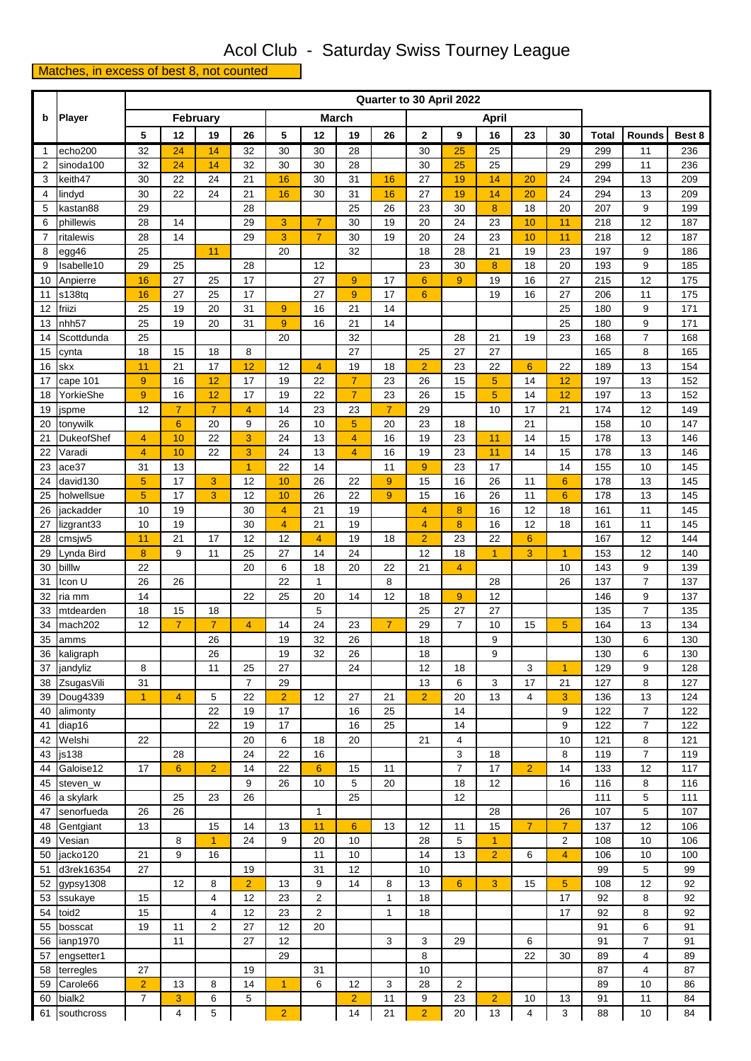## Acol Club - Saturday Swiss Tourney League

## Matches, in excess of best 8, not counted

|                |                    | Quarter to 30 April 2022 |                 |                |                |                              |                         |                |                |                |                |                |                         |                 |              |                                           |            |  |
|----------------|--------------------|--------------------------|-----------------|----------------|----------------|------------------------------|-------------------------|----------------|----------------|----------------|----------------|----------------|-------------------------|-----------------|--------------|-------------------------------------------|------------|--|
| b              | <b>Player</b>      | February                 |                 |                |                | <b>March</b><br><b>April</b> |                         |                |                |                |                |                |                         |                 |              |                                           |            |  |
|                |                    | 5                        | 12              | 19             | 26             | 5                            | 12                      | 19             | 26             | $\mathbf{2}$   | 9              | 16             | 23                      | 30              | <b>Total</b> | Rounds                                    | Best 8     |  |
| 1              | echo200            | 32                       | 24              | 14             | 32             | 30                           | 30                      | 28             |                | 30             | 25             | 25             |                         | 29              | 299          | 11                                        | 236        |  |
| 2              | sinoda100          | 32                       | 24              | 14             | 32             | 30                           | 30                      | 28             |                | 30             | 25             | 25             |                         | 29              | 299          | 11                                        | 236        |  |
| 3              | keith47            | 30                       | 22              | 24             | 21             | 16                           | 30                      | 31             | 16             | 27             | 19             | 14             | 20                      | 24              | 294          | 13                                        | 209        |  |
| 4              | lindyd             | 30                       | 22              | 24             | 21             | 16                           | 30                      | 31             | 16             | 27             | 19             | 14             | 20                      | 24              | 294          | 13                                        | 209        |  |
| 5              | kastan88           | 29                       |                 |                | 28             |                              |                         | 25             | 26             | 23             | 30             | 8              | 18                      | 20              | 207          | 9                                         | 199        |  |
| 6              | phillewis          | 28                       | 14              |                | 29             | 3                            | $\overline{7}$          | 30             | 19             | 20             | 24             | 23             | 10                      | 11              | 218          | 12                                        | 187        |  |
| $\overline{7}$ | ritalewis          | 28                       | 14              |                | 29             | 3                            | $\overline{7}$          | 30             | 19             | 20             | 24             | 23             | 10                      | 11              | 218          | 12                                        | 187        |  |
| 8              | egg46              | 25                       |                 | 11             |                | 20                           |                         | 32             |                | 18             | 28             | 21             | 19                      | 23              | 197          | 9                                         | 186        |  |
| 9              | Isabelle10         | 29                       | 25              |                | 28             |                              | 12                      |                |                | 23             | 30             | 8              | 18                      | 20              | 193          | 9                                         | 185        |  |
| 10             | Anpierre           | 16                       | 27              | 25             | 17             |                              | 27                      | $\overline{9}$ | 17             | $6\phantom{a}$ | 9              | 19             | 16                      | 27              | 215          | 12                                        | 175        |  |
| 11             | s138tq             | 16                       | 27              | 25             | 17             |                              | 27                      | 9              | 17             | $6\phantom{1}$ |                | 19             | 16                      | 27              | 206          | 11                                        | 175        |  |
| 12             | friizi             | 25                       | 19              | 20             | 31             | 9                            | 16                      | 21             | 14             |                |                |                |                         | 25              | 180          | 9                                         | 171        |  |
| 13             | nhh <sub>57</sub>  | 25                       | 19              | 20             | 31             | 9                            | 16                      | 21             | 14             |                |                |                |                         | 25              | 180          | 9                                         | 171        |  |
| 14             | Scottdunda         | 25<br>18                 | 15              | 18             | 8              | 20                           |                         | 32<br>27       |                | 25             | 28<br>27       | 21<br>27       | 19                      | 23              | 168<br>165   | $\overline{7}$<br>8                       | 168<br>165 |  |
| 15             | cynta<br>skx       |                          | 21              | 17             | 12             | 12                           | $\overline{4}$          | 19             | 18             | $\overline{2}$ | 23             | 22             | $6\phantom{1}$          | 22              | 189          | 13                                        | 154        |  |
| 16<br>17       | cape 101           | 11<br>9                  | 16              | 12             | 17             | 19                           | 22                      | $\overline{7}$ | 23             | 26             | 15             | 5              | 14                      | 12              | 197          | 13                                        | 152        |  |
| 18             | YorkieShe          | 9                        | 16              | 12             | 17             | 19                           | 22                      | $\overline{7}$ | 23             | 26             | 15             | 5              | 14                      | 12              | 197          | 13                                        | 152        |  |
| 19             | jspme              | 12                       | $\overline{7}$  | $\overline{7}$ | $\overline{4}$ | 14                           | 23                      | 23             | $\overline{7}$ | 29             |                | 10             | 17                      | 21              | 174          | 12                                        | 149        |  |
| 20             | tonywilk           |                          | $6\phantom{1}6$ | 20             | 9              | 26                           | 10                      | 5              | 20             | 23             | 18             |                | 21                      |                 | 158          | 10                                        | 147        |  |
| 21             | DukeofShef         | $\overline{4}$           | 10              | 22             | 3              | 24                           | 13                      | $\overline{4}$ | 16             | 19             | 23             | 11             | 14                      | 15              | 178          | 13                                        | 146        |  |
| 22             | Varadi             | $\overline{4}$           | 10              | 22             | 3              | 24                           | 13                      | 4              | 16             | 19             | 23             | 11             | 14                      | 15              | 178          | 13                                        | 146        |  |
| 23             | ace37              | 31                       | 13              |                | $\overline{1}$ | 22                           | 14                      |                | 11             | $\overline{9}$ | 23             | 17             |                         | 14              | 155          | 10                                        | 145        |  |
| 24             | david130           | 5                        | 17              | 3              | 12             | 10                           | 26                      | 22             | 9              | 15             | 16             | 26             | 11                      | $6\phantom{1}6$ | 178          | 13                                        | 145        |  |
| 25             | holwellsue         | 5                        | 17              | 3              | 12             | 10                           | 26                      | 22             | 9              | 15             | 16             | 26             | 11                      | $6\phantom{1}6$ | 178          | 13                                        | 145        |  |
| 26             | jackadder          | 10                       | 19              |                | 30             | $\overline{4}$               | 21                      | 19             |                | $\overline{4}$ | 8              | 16             | 12                      | 18              | 161          | 11                                        | 145        |  |
| 27             | lizgrant33         | 10                       | 19              |                | 30             | 4                            | 21                      | 19             |                | 4              | 8              | 16             | 12                      | 18              | 161          | 11                                        | 145        |  |
| 28             | cmsjw <sub>5</sub> | 11                       | 21              | 17             | 12             | 12                           | $\overline{4}$          | 19             | 18             | $\overline{2}$ | 23             | 22             | $6\phantom{1}$          |                 | 167          | 12                                        | 144        |  |
| 29             | Lynda Bird         | 8                        | 9               | 11             | 25             | 27                           | 14                      | 24             |                | 12             | 18             | $\mathbf{1}$   | 3                       | $\overline{1}$  | 153          | 12                                        | 140        |  |
| 30             | billlw             | 22                       |                 |                | 20             | 6                            | 18                      | 20             | 22             | 21             | $\overline{4}$ |                |                         | 10              | 143          | 9                                         | 139        |  |
| 31             | Icon U             | 26                       | 26              |                |                | 22                           | $\mathbf{1}$            |                | 8              |                |                | 28             |                         | 26              | 137          | $\overline{7}$                            | 137        |  |
| 32             | ria mm             | 14                       |                 |                | 22             | 25                           | 20                      | 14             | 12             | 18             | 9              | 12             |                         |                 | 146          | 9                                         | 137        |  |
| 33             | mtdearden          | 18                       | 15              | 18             |                |                              | 5                       |                |                | 25             | 27             | 27             |                         |                 | 135          | $\overline{7}$                            | 135        |  |
| 34             | mach202            | 12                       | $\overline{7}$  | $\overline{7}$ | $\overline{4}$ | 14                           | 24                      | 23             | $\overline{7}$ | 29             | $\overline{7}$ | 10             | 15                      | 5               | 164          | 13                                        | 134        |  |
| 35             | amms               |                          |                 | 26             |                | 19                           | 32                      | 26             |                | 18             |                | 9              |                         |                 | 130          | 6                                         | 130        |  |
| 36             | kaligraph          |                          |                 | 26             |                | 19                           | 32                      | 26             |                | 18             |                | 9              |                         |                 | 130          | 6                                         | 130        |  |
| 37             | jandyliz           | 8                        |                 | 11             | 25             | 27                           |                         | 24             |                | 12             | 18             |                | 3                       | 1               | 129          | 9                                         | 128        |  |
| 38             | ZsugasVili         | 31                       |                 |                | $\overline{7}$ | 29                           |                         |                |                | 13             | 6              | 3              | 17                      | 21              | 127          | 8                                         | 127        |  |
| 39             | Doug4339           | $\overline{1}$           | $\overline{4}$  | 5              | 22             | $\overline{2}$               | 12                      | 27             | 21             | $\overline{2}$ | 20             | 13             | $\overline{4}$          | 3               | 136          | 13                                        | 124        |  |
| 40             | alimonty<br>diap16 |                          |                 | 22<br>22       | 19<br>19       | 17<br>17                     |                         | 16<br>16       | 25<br>25       |                | 14<br>14       |                |                         | 9<br>9          | 122<br>122   | $\overline{7}$<br>$\overline{\mathbf{7}}$ | 122<br>122 |  |
| 41<br>42       | Welshi             | 22                       |                 |                | 20             | 6                            | 18                      | 20             |                | 21             | 4              |                |                         | 10              | 121          | 8                                         | 121        |  |
| 43             | js138              |                          | 28              |                | 24             | 22                           | 16                      |                |                |                | 3              | 18             |                         | 8               | 119          | $\overline{7}$                            | 119        |  |
| 44             | Galoise12          | 17                       | $6\phantom{1}$  | $\overline{2}$ | 14             | 22                           | $6\phantom{1}6$         | 15             | 11             |                | $\overline{7}$ | 17             | $\overline{2}$          | 14              | 133          | 12                                        | 117        |  |
| 45             | steven_w           |                          |                 |                | 9              | 26                           | 10                      | 5              | 20             |                | 18             | 12             |                         | 16              | 116          | 8                                         | 116        |  |
| 46             | a skylark          |                          | 25              | 23             | 26             |                              |                         | 25             |                |                | 12             |                |                         |                 | 111          | $\,$ 5 $\,$                               | 111        |  |
| 47             | senorfueda         | 26                       | 26              |                |                |                              | $\mathbf{1}$            |                |                |                |                | 28             |                         | 26              | 107          | 5                                         | 107        |  |
| 48             | Gentgiant          | 13                       |                 | 15             | 14             | 13                           | 11                      | 6              | 13             | 12             | 11             | 15             | $\overline{7}$          | $\overline{7}$  | 137          | 12                                        | 106        |  |
| 49             | Vesian             |                          | 8               | $\overline{1}$ | 24             | 9                            | 20                      | 10             |                | 28             | 5              | $\mathbf{1}$   |                         | $\overline{c}$  | 108          | 10                                        | 106        |  |
| 50             | jacko120           | 21                       | 9               | 16             |                |                              | 11                      | 10             |                | 14             | 13             | $\overline{2}$ | 6                       | $\overline{4}$  | 106          | 10                                        | 100        |  |
| 51             | d3rek16354         | 27                       |                 |                | 19             |                              | 31                      | 12             |                | 10             |                |                |                         |                 | 99           | 5                                         | 99         |  |
| 52             | gypsy1308          |                          | 12              | 8              | $\overline{2}$ | 13                           | 9                       | 14             | 8              | 13             | $6^{\circ}$    | 3              | 15                      | 5               | 108          | 12                                        | 92         |  |
| 53             | ssukaye            | 15                       |                 | 4              | 12             | 23                           | $\overline{\mathbf{c}}$ |                | $\mathbf{1}$   | 18             |                |                |                         | 17              | 92           | 8                                         | 92         |  |
| 54             | toid2              | 15                       |                 | 4              | 12             | 23                           | $\overline{2}$          |                | 1              | 18             |                |                |                         | 17              | 92           | 8                                         | 92         |  |
| 55             | bosscat            | 19                       | 11              | 2              | 27             | 12                           | 20                      |                |                |                |                |                |                         |                 | 91           | 6                                         | 91         |  |
| 56             | ianp1970           |                          | 11              |                | 27             | 12                           |                         |                | 3              | 3              | 29             |                | 6                       |                 | 91           | $\overline{7}$                            | 91         |  |
| 57             | engsetter1         |                          |                 |                |                | 29                           |                         |                |                | 8              |                |                | 22                      | 30              | 89           | 4                                         | 89         |  |
| 58             | terregles          | 27                       |                 |                | 19             |                              | 31                      |                |                | 10             |                |                |                         |                 | 87           | 4                                         | 87         |  |
| 59             | Carole66           | $\overline{2}$           | 13              | 8              | 14             | $\blacktriangleleft$         | 6                       | 12             | 3              | 28             | $\overline{2}$ |                |                         |                 | 89           | 10                                        | 86         |  |
| 60             | bialk2             | $\overline{7}$           | 3               | 6              | 5              |                              |                         | $\overline{2}$ | 11             | 9              | 23             | $\overline{2}$ | 10                      | 13              | 91           | 11                                        | 84         |  |
| 61             | southcross         |                          | 4               | 5              |                | $\overline{2}$               |                         | 14             | 21             | $\overline{2}$ | 20             | 13             | $\overline{\mathbf{4}}$ | 3               | 88           | 10                                        | 84         |  |